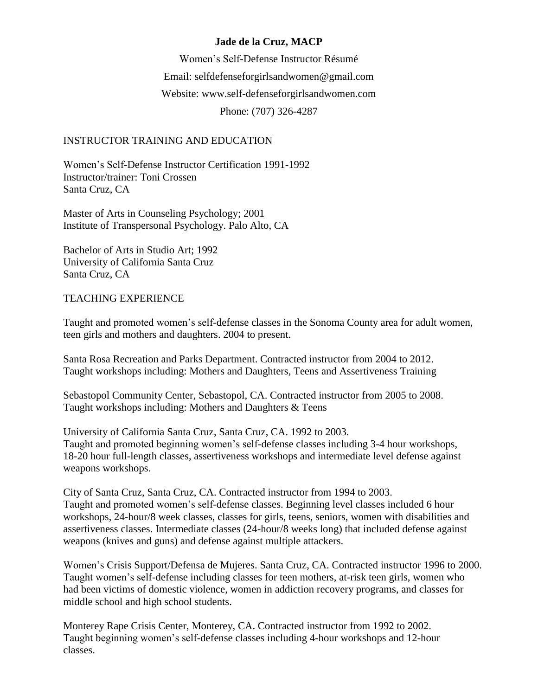# **Jade de la Cruz, MACP**

Women's Self-Defense Instructor Résumé Email: [selfdefenseforgirlsandwomen@gmail.com](mailto:selfdefenseforgirlsandwomen@gmail.com) Website: www.self-defenseforgirlsandwomen.com Phone: (707) 326-4287

## INSTRUCTOR TRAINING AND EDUCATION

Women's Self-Defense Instructor Certification 1991-1992 Instructor/trainer: Toni Crossen Santa Cruz, CA

Master of Arts in Counseling Psychology; 2001 Institute of Transpersonal Psychology. Palo Alto, CA

Bachelor of Arts in Studio Art; 1992 University of California Santa Cruz Santa Cruz, CA

### TEACHING EXPERIENCE

Taught and promoted women's self-defense classes in the Sonoma County area for adult women, teen girls and mothers and daughters. 2004 to present.

Santa Rosa Recreation and Parks Department. Contracted instructor from 2004 to 2012. Taught workshops including: Mothers and Daughters, Teens and Assertiveness Training

Sebastopol Community Center, Sebastopol, CA. Contracted instructor from 2005 to 2008. Taught workshops including: Mothers and Daughters & Teens

University of California Santa Cruz, Santa Cruz, CA. 1992 to 2003. Taught and promoted beginning women's self-defense classes including 3-4 hour workshops, 18-20 hour full-length classes, assertiveness workshops and intermediate level defense against weapons workshops.

City of Santa Cruz, Santa Cruz, CA. Contracted instructor from 1994 to 2003. Taught and promoted women's self-defense classes. Beginning level classes included 6 hour workshops, 24-hour/8 week classes, classes for girls, teens, seniors, women with disabilities and assertiveness classes. Intermediate classes (24-hour/8 weeks long) that included defense against weapons (knives and guns) and defense against multiple attackers.

Women's Crisis Support/Defensa de Mujeres. Santa Cruz, CA. Contracted instructor 1996 to 2000. Taught women's self-defense including classes for teen mothers, at-risk teen girls, women who had been victims of domestic violence, women in addiction recovery programs, and classes for middle school and high school students.

Monterey Rape Crisis Center, Monterey, CA. Contracted instructor from 1992 to 2002. Taught beginning women's self-defense classes including 4-hour workshops and 12-hour classes.